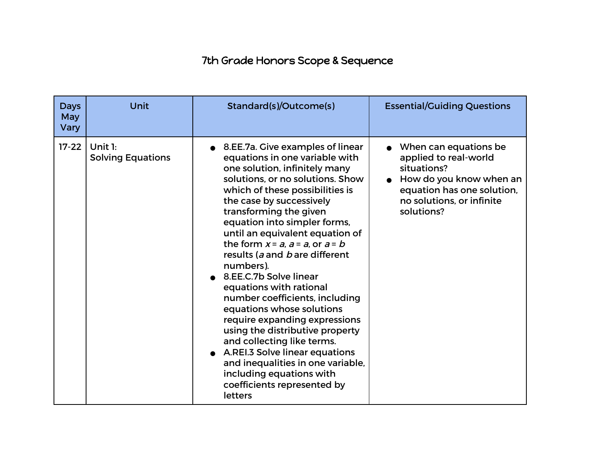## 7th Grade Honors Scope & Sequence

| <b>Days</b><br><b>May</b><br>Vary | Unit                                | Standard(s)/Outcome(s)                                                                                                                                                                                                                                                                                                                                                                                                                                                                                                                                                                                                                                                                                                                                             | <b>Essential/Guiding Questions</b>                                                                                                                                          |
|-----------------------------------|-------------------------------------|--------------------------------------------------------------------------------------------------------------------------------------------------------------------------------------------------------------------------------------------------------------------------------------------------------------------------------------------------------------------------------------------------------------------------------------------------------------------------------------------------------------------------------------------------------------------------------------------------------------------------------------------------------------------------------------------------------------------------------------------------------------------|-----------------------------------------------------------------------------------------------------------------------------------------------------------------------------|
| $17 - 22$                         | Unit 1:<br><b>Solving Equations</b> | • 8.EE.7a. Give examples of linear<br>equations in one variable with<br>one solution, infinitely many<br>solutions, or no solutions. Show<br>which of these possibilities is<br>the case by successively<br>transforming the given<br>equation into simpler forms,<br>until an equivalent equation of<br>the form $x = a$ , $a = a$ , or $a = b$<br>results (a and b are different<br>numbers).<br>8.EE.C.7b Solve linear<br>equations with rational<br>number coefficients, including<br>equations whose solutions<br>require expanding expressions<br>using the distributive property<br>and collecting like terms.<br>A.REI.3 Solve linear equations<br>and inequalities in one variable,<br>including equations with<br>coefficients represented by<br>letters | When can equations be<br>applied to real-world<br>situations?<br>$\bullet$ How do you know when an<br>equation has one solution,<br>no solutions, or infinite<br>solutions? |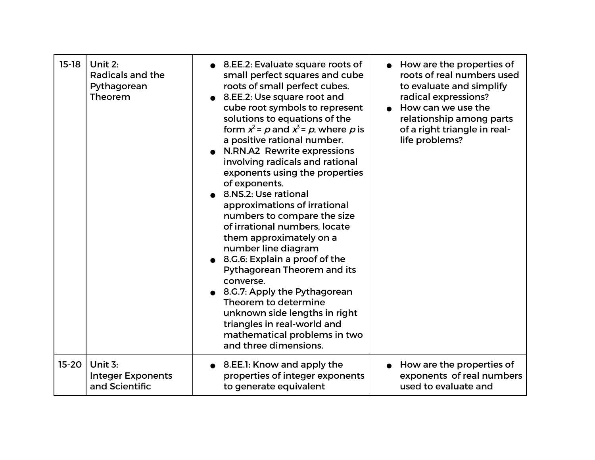| $15-18$   | Unit 2:<br>Radicals and the<br>Pythagorean<br>Theorem | 8.EE.2: Evaluate square roots of<br>small perfect squares and cube<br>roots of small perfect cubes.<br>8.EE.2: Use square root and<br>cube root symbols to represent<br>solutions to equations of the<br>form $x^2$ = p and $x^3$ = p, where p is<br>a positive rational number.<br>N.RN.A2 Rewrite expressions<br>involving radicals and rational<br>exponents using the properties<br>of exponents.<br>8.NS.2: Use rational<br>approximations of irrational<br>numbers to compare the size<br>of irrational numbers, locate<br>them approximately on a<br>number line diagram<br>8.G.6: Explain a proof of the<br>Pythagorean Theorem and its<br>converse.<br>8.G.7: Apply the Pythagorean<br>Theorem to determine<br>unknown side lengths in right<br>triangles in real-world and<br>mathematical problems in two<br>and three dimensions. | How are the properties of<br>roots of real numbers used<br>to evaluate and simplify<br>radical expressions?<br>How can we use the<br>relationship among parts<br>of a right triangle in real-<br>life problems? |
|-----------|-------------------------------------------------------|-----------------------------------------------------------------------------------------------------------------------------------------------------------------------------------------------------------------------------------------------------------------------------------------------------------------------------------------------------------------------------------------------------------------------------------------------------------------------------------------------------------------------------------------------------------------------------------------------------------------------------------------------------------------------------------------------------------------------------------------------------------------------------------------------------------------------------------------------|-----------------------------------------------------------------------------------------------------------------------------------------------------------------------------------------------------------------|
| $15 - 20$ | Unit 3:                                               | 8.EE.1: Know and apply the                                                                                                                                                                                                                                                                                                                                                                                                                                                                                                                                                                                                                                                                                                                                                                                                                    | How are the properties of                                                                                                                                                                                       |
|           | <b>Integer Exponents</b>                              | properties of integer exponents                                                                                                                                                                                                                                                                                                                                                                                                                                                                                                                                                                                                                                                                                                                                                                                                               | exponents of real numbers                                                                                                                                                                                       |
|           | and Scientific                                        | to generate equivalent                                                                                                                                                                                                                                                                                                                                                                                                                                                                                                                                                                                                                                                                                                                                                                                                                        | used to evaluate and                                                                                                                                                                                            |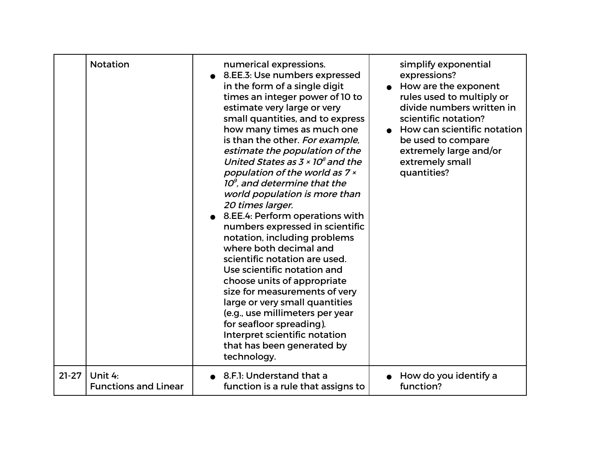|           | <b>Notation</b>             | numerical expressions.<br>8.EE.3: Use numbers expressed<br>in the form of a single digit<br>times an integer power of 10 to<br>estimate very large or very<br>small quantities, and to express<br>how many times as much one<br>is than the other. For example,<br>estimate the population of the<br>United States as $3 \times 10^8$ and the<br>population of the world as 7 x<br>$10^{\circ}$ , and determine that the<br>world population is more than<br>20 times larger.<br>8.EE.4: Perform operations with<br>numbers expressed in scientific<br>notation, including problems<br>where both decimal and<br>scientific notation are used.<br>Use scientific notation and<br>choose units of appropriate<br>size for measurements of very<br>large or very small quantities<br>(e.g., use millimeters per year<br>for seafloor spreading).<br>Interpret scientific notation<br>that has been generated by<br>technology. | simplify exponential<br>expressions?<br>How are the exponent<br>rules used to multiply or<br>divide numbers written in<br>scientific notation?<br>How can scientific notation<br>be used to compare<br>extremely large and/or<br>extremely small<br>quantities? |
|-----------|-----------------------------|------------------------------------------------------------------------------------------------------------------------------------------------------------------------------------------------------------------------------------------------------------------------------------------------------------------------------------------------------------------------------------------------------------------------------------------------------------------------------------------------------------------------------------------------------------------------------------------------------------------------------------------------------------------------------------------------------------------------------------------------------------------------------------------------------------------------------------------------------------------------------------------------------------------------------|-----------------------------------------------------------------------------------------------------------------------------------------------------------------------------------------------------------------------------------------------------------------|
| $21 - 27$ | Unit 4:                     | 8.F.I: Understand that a                                                                                                                                                                                                                                                                                                                                                                                                                                                                                                                                                                                                                                                                                                                                                                                                                                                                                                     | How do you identify a                                                                                                                                                                                                                                           |
|           | <b>Functions and Linear</b> | function is a rule that assigns to                                                                                                                                                                                                                                                                                                                                                                                                                                                                                                                                                                                                                                                                                                                                                                                                                                                                                           | function?                                                                                                                                                                                                                                                       |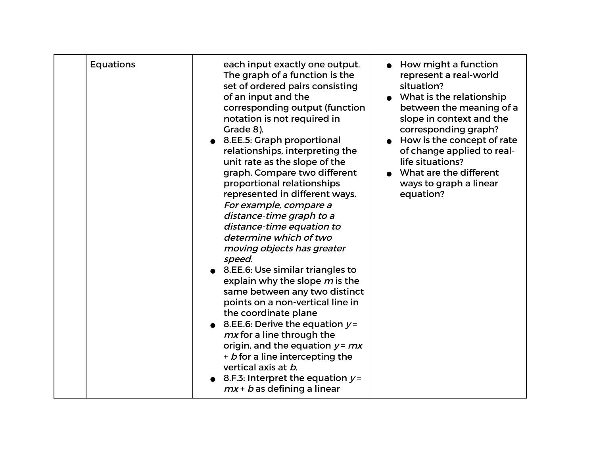| <b>Equations</b> | each input exactly one output.<br>The graph of a function is the<br>set of ordered pairs consisting<br>of an input and the<br>corresponding output (function<br>notation is not required in<br>Grade 8).<br>8.EE.5: Graph proportional<br>relationships, interpreting the<br>unit rate as the slope of the<br>graph. Compare two different<br>proportional relationships<br>represented in different ways.<br>For example, compare a<br>distance-time graph to a<br>distance-time equation to<br>determine which of two<br>moving objects has greater<br>speed.<br>● 8.EE.6: Use similar triangles to<br>explain why the slope m is the<br>same between any two distinct<br>points on a non-vertical line in<br>the coordinate plane<br>8.EE.6: Derive the equation $y =$<br>mx for a line through the<br>origin, and the equation $y = mx$<br>+ b for a line intercepting the<br>vertical axis at b.<br>8.F.3: Interpret the equation $y =$<br>$mx + b$ as defining a linear | How might a function<br>represent a real-world<br>situation?<br>• What is the relationship<br>between the meaning of a<br>slope in context and the<br>corresponding graph?<br>How is the concept of rate<br>of change applied to real-<br>life situations?<br>What are the different<br>ways to graph a linear<br>equation? |
|------------------|-------------------------------------------------------------------------------------------------------------------------------------------------------------------------------------------------------------------------------------------------------------------------------------------------------------------------------------------------------------------------------------------------------------------------------------------------------------------------------------------------------------------------------------------------------------------------------------------------------------------------------------------------------------------------------------------------------------------------------------------------------------------------------------------------------------------------------------------------------------------------------------------------------------------------------------------------------------------------------|-----------------------------------------------------------------------------------------------------------------------------------------------------------------------------------------------------------------------------------------------------------------------------------------------------------------------------|
|------------------|-------------------------------------------------------------------------------------------------------------------------------------------------------------------------------------------------------------------------------------------------------------------------------------------------------------------------------------------------------------------------------------------------------------------------------------------------------------------------------------------------------------------------------------------------------------------------------------------------------------------------------------------------------------------------------------------------------------------------------------------------------------------------------------------------------------------------------------------------------------------------------------------------------------------------------------------------------------------------------|-----------------------------------------------------------------------------------------------------------------------------------------------------------------------------------------------------------------------------------------------------------------------------------------------------------------------------|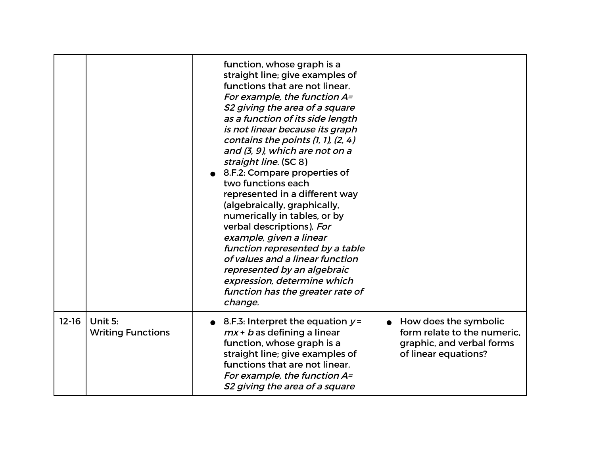|           |                                     | function, whose graph is a<br>straight line; give examples of<br>functions that are not linear.<br>For example, the function A=<br>S2 giving the area of a square<br>as a function of its side length<br>is not linear because its graph<br>contains the points $(1, 1)$ , $(2, 4)$<br>and (3, 9), which are not on a<br>straight line. (SC 8)<br>8.F.2: Compare properties of<br>two functions each<br>represented in a different way<br>(algebraically, graphically,<br>numerically in tables, or by<br>verbal descriptions). For<br>example, given a linear<br>function represented by a table<br>of values and a linear function<br>represented by an algebraic<br>expression, determine which<br>function has the greater rate of<br>change. |                                                                                                           |
|-----------|-------------------------------------|---------------------------------------------------------------------------------------------------------------------------------------------------------------------------------------------------------------------------------------------------------------------------------------------------------------------------------------------------------------------------------------------------------------------------------------------------------------------------------------------------------------------------------------------------------------------------------------------------------------------------------------------------------------------------------------------------------------------------------------------------|-----------------------------------------------------------------------------------------------------------|
| $12 - 16$ | Unit 5:<br><b>Writing Functions</b> | 8.F.3: Interpret the equation $y =$<br>$mx + b$ as defining a linear<br>function, whose graph is a<br>straight line; give examples of<br>functions that are not linear.<br>For example, the function A=<br>S2 giving the area of a square                                                                                                                                                                                                                                                                                                                                                                                                                                                                                                         | How does the symbolic<br>form relate to the numeric.<br>graphic, and verbal forms<br>of linear equations? |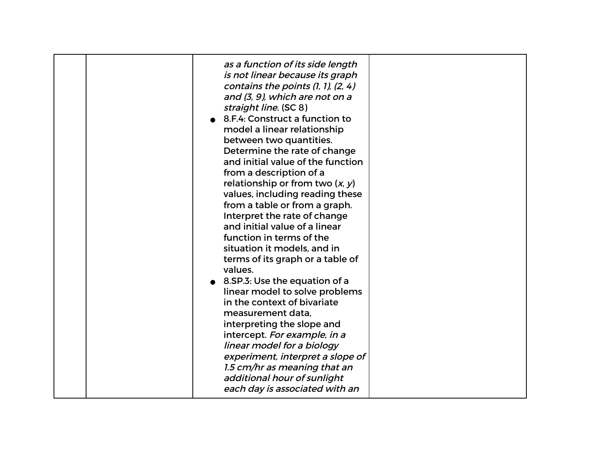| as a function of its side length<br>is not linear because its graph<br>contains the points $(1, 1)$ , $(2, 4)$<br>and (3, 9), which are not on a<br>straight line. (SC 8)<br>8.F.4: Construct a function to<br>model a linear relationship<br>between two quantities.<br>Determine the rate of change<br>and initial value of the function<br>from a description of a<br>relationship or from two $(x, y)$<br>values, including reading these<br>from a table or from a graph.<br>Interpret the rate of change<br>and initial value of a linear<br>function in terms of the<br>situation it models, and in<br>terms of its graph or a table of<br>values.<br>8.SP.3: Use the equation of a<br>linear model to solve problems<br>in the context of bivariate<br>measurement data,<br>interpreting the slope and<br>intercept. For example, in a<br>linear model for a biology<br>experiment, interpret a slope of<br>1.5 cm/hr as meaning that an |  |
|--------------------------------------------------------------------------------------------------------------------------------------------------------------------------------------------------------------------------------------------------------------------------------------------------------------------------------------------------------------------------------------------------------------------------------------------------------------------------------------------------------------------------------------------------------------------------------------------------------------------------------------------------------------------------------------------------------------------------------------------------------------------------------------------------------------------------------------------------------------------------------------------------------------------------------------------------|--|
| additional hour of sunlight<br>each day is associated with an                                                                                                                                                                                                                                                                                                                                                                                                                                                                                                                                                                                                                                                                                                                                                                                                                                                                                    |  |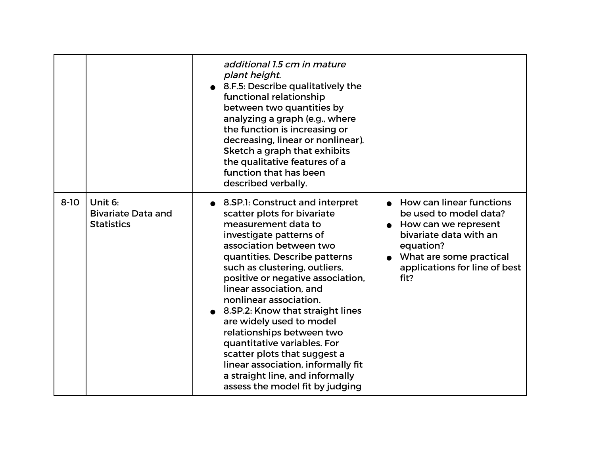|          |                                                           | additional 1.5 cm in mature<br>plant height.<br>8.F.5: Describe qualitatively the<br>functional relationship<br>between two quantities by<br>analyzing a graph (e.g., where<br>the function is increasing or<br>decreasing, linear or nonlinear).<br>Sketch a graph that exhibits<br>the qualitative features of a<br>function that has been<br>described verbally.                                                                                                                                                                                                             |                                                                                                                                                                                         |
|----------|-----------------------------------------------------------|---------------------------------------------------------------------------------------------------------------------------------------------------------------------------------------------------------------------------------------------------------------------------------------------------------------------------------------------------------------------------------------------------------------------------------------------------------------------------------------------------------------------------------------------------------------------------------|-----------------------------------------------------------------------------------------------------------------------------------------------------------------------------------------|
| $8 - 10$ | Unit 6:<br><b>Bivariate Data and</b><br><b>Statistics</b> | 8.SP.1: Construct and interpret<br>scatter plots for bivariate<br>measurement data to<br>investigate patterns of<br>association between two<br>quantities. Describe patterns<br>such as clustering, outliers,<br>positive or negative association,<br>linear association, and<br>nonlinear association.<br>8.SP.2: Know that straight lines<br>are widely used to model<br>relationships between two<br>quantitative variables. For<br>scatter plots that suggest a<br>linear association, informally fit<br>a straight line, and informally<br>assess the model fit by judging | • How can linear functions<br>be used to model data?<br>How can we represent<br>bivariate data with an<br>equation?<br>What are some practical<br>applications for line of best<br>fit? |